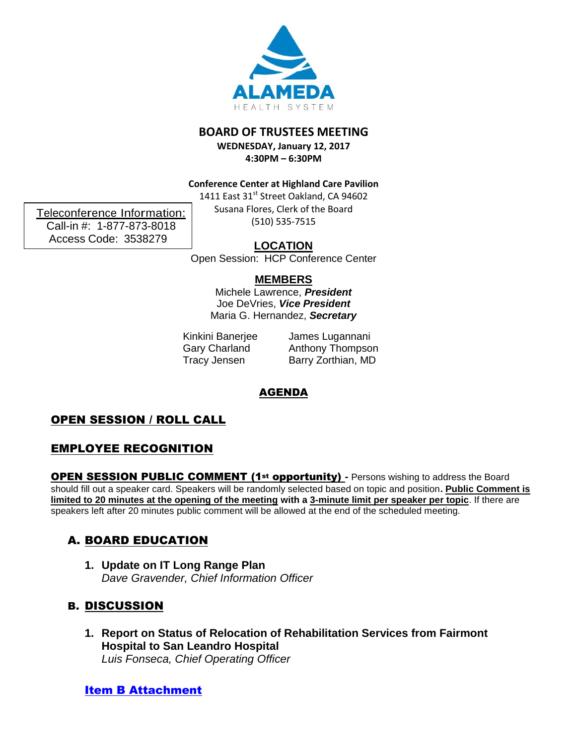

### **BOARD OF TRUSTEES MEETING**

**WEDNESDAY, January 12, 2017 4:30PM – 6:30PM**

**Conference Center at Highland Care Pavilion**

1411 East 31<sup>st</sup> Street Oakland, CA 94602 Susana Flores, Clerk of the Board (510) 535-7515

**LOCATION**

Open Session: HCP Conference Center

### **MEMBERS**

Michele Lawrence, *President* Joe DeVries, *Vice President* Maria G. Hernandez, *Secretary*

Kinkini Banerjee Gary Charland Tracy Jensen

James Lugannani Anthony Thompson Barry Zorthian, MD

# AGENDA

# OPEN SESSION / ROLL CALL

## EMPLOYEE RECOGNITION

**OPEN SESSION PUBLIC COMMENT (1st opportunity) - Persons wishing to address the Board** should fill out a speaker card. Speakers will be randomly selected based on topic and position**. Public Comment is limited to 20 minutes at the opening of the meeting with a 3-minute limit per speaker per topic**. If there are speakers left after 20 minutes public comment will be allowed at the end of the scheduled meeting*.*

# A. BOARD EDUCATION

**1. Update on IT Long Range Plan** *Dave Gravender, Chief Information Officer*

# B. DISCUSSION

**1. Report on Status of Relocation of Rehabilitation Services from Fairmont Hospital to San Leandro Hospital** *Luis Fonseca, Chief Operating Officer* 

## [Item B Attachment](http://www.alamedahealthsystem.org/sites/default/files/Rehab%20Relocation%20Jan%2012%202017.pdf)

Teleconference Information: Call-in #: 1-877-873-8018 Access Code: 3538279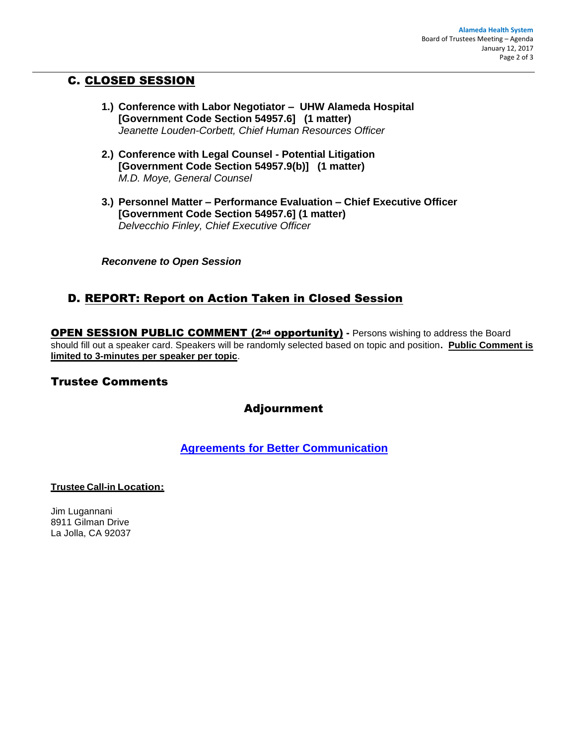## C. CLOSED SESSION

- **1.) Conference with Labor Negotiator UHW Alameda Hospital [Government Code Section 54957.6] (1 matter)** *Jeanette Louden-Corbett, Chief Human Resources Officer*
- **2.) Conference with Legal Counsel - Potential Litigation [Government Code Section 54957.9(b)] (1 matter)** *M.D. Moye, General Counsel*
- **3.) Personnel Matter – Performance Evaluation – Chief Executive Officer [Government Code Section 54957.6] (1 matter)** *Delvecchio Finley, Chief Executive Officer*

*Reconvene to Open Session*

## D. REPORT: Report on Action Taken in Closed Session

**OPEN SESSION PUBLIC COMMENT (2nd opportunity)** - Persons wishing to address the Board should fill out a speaker card. Speakers will be randomly selected based on topic and position**. Public Comment is limited to 3-minutes per speaker per topic**.

### Trustee Comments

### Adjournment

**Agreements [for Better Communication](http://www.alamedahealthsystem.org/sites/default/files/Agreements%20for%20Better%20Communications_7.pdf)**

#### **Trustee Call-in Location:**

Jim Lugannani 8911 Gilman Drive La Jolla, CA 92037